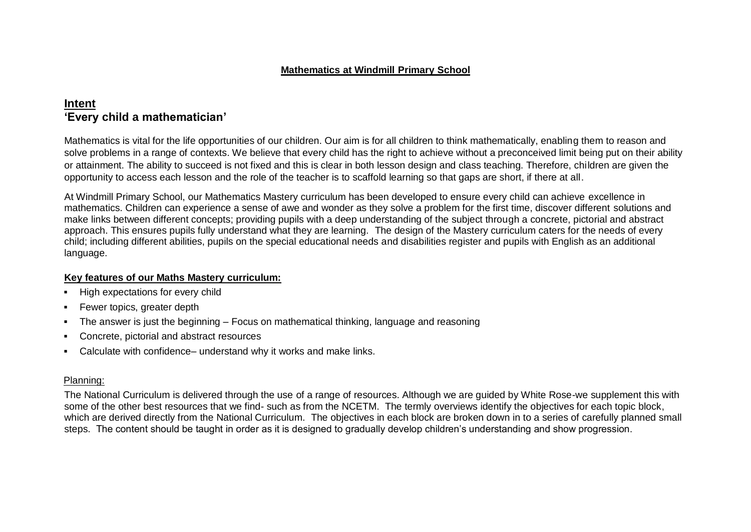#### **Mathematics at Windmill Primary School**

# **Intent 'Every child a mathematician'**

Mathematics is vital for the life opportunities of our children. Our aim is for all children to think mathematically, enabling them to reason and solve problems in a range of contexts. We believe that every child has the right to achieve without a preconceived limit being put on their ability or attainment. The ability to succeed is not fixed and this is clear in both lesson design and class teaching. Therefore, children are given the opportunity to access each lesson and the role of the teacher is to scaffold learning so that gaps are short, if there at all.

At Windmill Primary School, our Mathematics Mastery curriculum has been developed to ensure every child can achieve excellence in mathematics. Children can experience a sense of awe and wonder as they solve a problem for the first time, discover different solutions and make links between different concepts; providing pupils with a deep understanding of the subject through a concrete, pictorial and abstract approach. This ensures pupils fully understand what they are learning. The design of the Mastery curriculum caters for the needs of every child; including different abilities, pupils on the special educational needs and disabilities register and pupils with English as an additional language.

#### **Key features of our Maths Mastery curriculum:**

- High expectations for every child
- Fewer topics, greater depth
- The answer is just the beginning Focus on mathematical thinking, language and reasoning
- Concrete, pictorial and abstract resources
- Calculate with confidence– understand why it works and make links.

#### Planning:

The National Curriculum is delivered through the use of a range of resources. Although we are guided by White Rose-we supplement this with some of the other best resources that we find- such as from the NCETM. The termly overviews identify the objectives for each topic block, which are derived directly from the National Curriculum. The objectives in each block are broken down in to a series of carefully planned small steps. The content should be taught in order as it is designed to gradually develop children's understanding and show progression.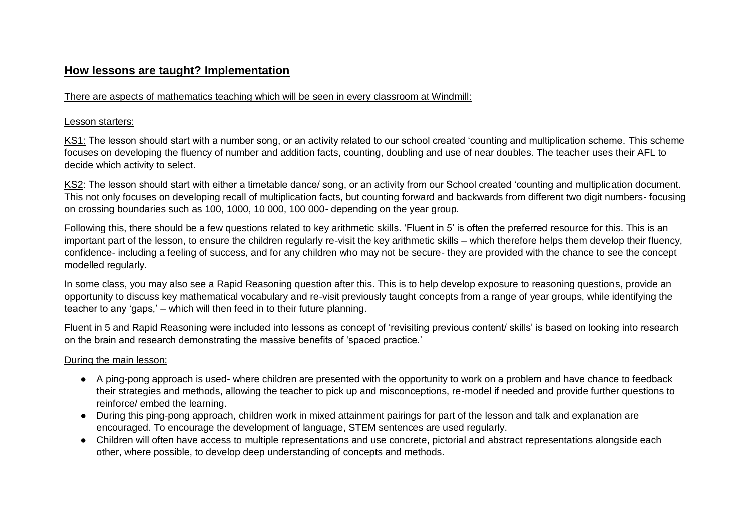## **How lessons are taught? Implementation**

### There are aspects of mathematics teaching which will be seen in every classroom at Windmill:

### Lesson starters:

KS1: The lesson should start with a number song, or an activity related to our school created 'counting and multiplication scheme. This scheme focuses on developing the fluency of number and addition facts, counting, doubling and use of near doubles. The teacher uses their AFL to decide which activity to select.

KS2: The lesson should start with either a timetable dance/ song, or an activity from our School created 'counting and multiplication document. This not only focuses on developing recall of multiplication facts, but counting forward and backwards from different two digit numbers- focusing on crossing boundaries such as 100, 1000, 10 000, 100 000- depending on the year group.

Following this, there should be a few questions related to key arithmetic skills. 'Fluent in 5' is often the preferred resource for this. This is an important part of the lesson, to ensure the children regularly re-visit the key arithmetic skills – which therefore helps them develop their fluency, confidence- including a feeling of success, and for any children who may not be secure- they are provided with the chance to see the concept modelled regularly.

In some class, you may also see a Rapid Reasoning question after this. This is to help develop exposure to reasoning questions, provide an opportunity to discuss key mathematical vocabulary and re-visit previously taught concepts from a range of year groups, while identifying the teacher to any 'gaps,' – which will then feed in to their future planning.

Fluent in 5 and Rapid Reasoning were included into lessons as concept of 'revisiting previous content/ skills' is based on looking into research on the brain and research demonstrating the massive benefits of 'spaced practice.'

### During the main lesson:

- A ping-pong approach is used- where children are presented with the opportunity to work on a problem and have chance to feedback their strategies and methods, allowing the teacher to pick up and misconceptions, re-model if needed and provide further questions to reinforce/ embed the learning.
- During this ping-pong approach, children work in mixed attainment pairings for part of the lesson and talk and explanation are encouraged. To encourage the development of language, STEM sentences are used regularly.
- Children will often have access to multiple representations and use concrete, pictorial and abstract representations alongside each other, where possible, to develop deep understanding of concepts and methods.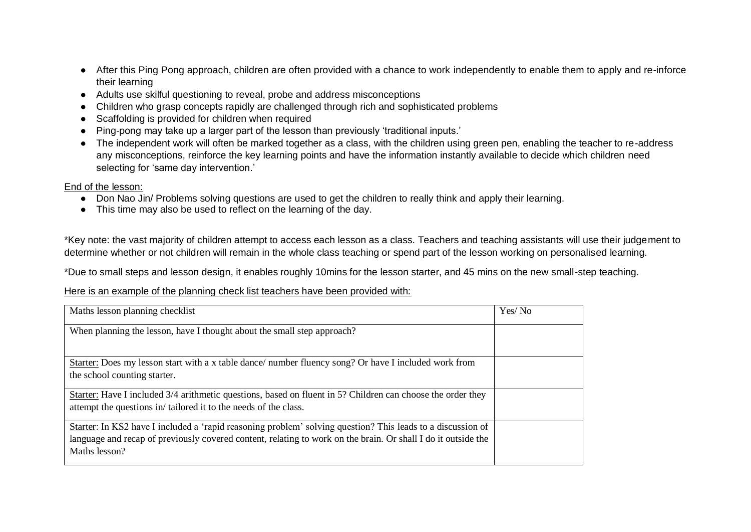- After this Ping Pong approach, children are often provided with a chance to work independently to enable them to apply and re-inforce their learning
- Adults use skilful questioning to reveal, probe and address misconceptions
- Children who grasp concepts rapidly are challenged through rich and sophisticated problems
- Scaffolding is provided for children when required
- Ping-pong may take up a larger part of the lesson than previously 'traditional inputs.'
- The independent work will often be marked together as a class, with the children using green pen, enabling the teacher to re-address any misconceptions, reinforce the key learning points and have the information instantly available to decide which children need selecting for 'same day intervention.'

### End of the lesson:

- Don Nao Jin/ Problems solving questions are used to get the children to really think and apply their learning.
- This time may also be used to reflect on the learning of the day.

\*Key note: the vast majority of children attempt to access each lesson as a class. Teachers and teaching assistants will use their judgement to determine whether or not children will remain in the whole class teaching or spend part of the lesson working on personalised learning.

\*Due to small steps and lesson design, it enables roughly 10mins for the lesson starter, and 45 mins on the new small-step teaching.

#### Here is an example of the planning check list teachers have been provided with:

| Maths lesson planning checklist                                                                               | Yes/No |
|---------------------------------------------------------------------------------------------------------------|--------|
| When planning the lesson, have I thought about the small step approach?                                       |        |
|                                                                                                               |        |
| Starter: Does my lesson start with a x table dance/ number fluency song? Or have I included work from         |        |
| the school counting starter.                                                                                  |        |
| Starter: Have I included 3/4 arithmetic questions, based on fluent in 5? Children can choose the order they   |        |
| attempt the questions in/tailored it to the needs of the class.                                               |        |
| Starter: In KS2 have I included a 'rapid reasoning problem' solving question? This leads to a discussion of   |        |
| language and recap of previously covered content, relating to work on the brain. Or shall I do it outside the |        |
| Maths lesson?                                                                                                 |        |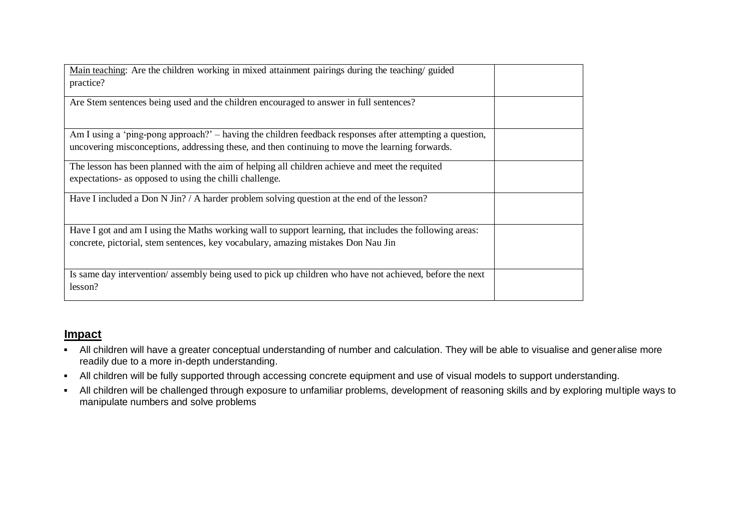| Main teaching: Are the children working in mixed attainment pairings during the teaching/ guided         |  |
|----------------------------------------------------------------------------------------------------------|--|
|                                                                                                          |  |
| practice?                                                                                                |  |
|                                                                                                          |  |
| Are Stem sentences being used and the children encouraged to answer in full sentences?                   |  |
|                                                                                                          |  |
|                                                                                                          |  |
|                                                                                                          |  |
| Am I using a 'ping-pong approach?' – having the children feedback responses after attempting a question, |  |
| uncovering misconceptions, addressing these, and then continuing to move the learning forwards.          |  |
|                                                                                                          |  |
| The lesson has been planned with the aim of helping all children achieve and meet the requited           |  |
|                                                                                                          |  |
| expectations- as opposed to using the chilli challenge.                                                  |  |
|                                                                                                          |  |
| Have I included a Don N Jin? / A harder problem solving question at the end of the lesson?               |  |
|                                                                                                          |  |
|                                                                                                          |  |
| Have I got and am I using the Maths working wall to support learning, that includes the following areas: |  |
|                                                                                                          |  |
| concrete, pictorial, stem sentences, key vocabulary, amazing mistakes Don Nau Jin                        |  |
|                                                                                                          |  |
|                                                                                                          |  |
| Is same day intervention/assembly being used to pick up children who have not achieved, before the next  |  |
|                                                                                                          |  |
| lesson?                                                                                                  |  |
|                                                                                                          |  |

# **Impact**

- All children will have a greater conceptual understanding of number and calculation. They will be able to visualise and generalise more readily due to a more in-depth understanding.
- All children will be fully supported through accessing concrete equipment and use of visual models to support understanding.
- All children will be challenged through exposure to unfamiliar problems, development of reasoning skills and by exploring multiple ways to manipulate numbers and solve problems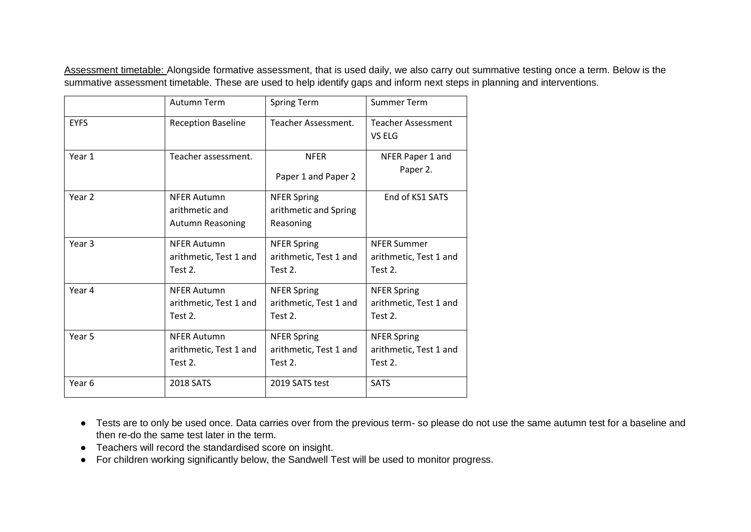Assessment timetable: Alongside formative assessment, that is used daily, we also carry out summative testing once a term. Below is the summative assessment timetable. These are used to help identify gaps and inform next steps in planning and interventions.

|                   | Autumn Term                                                     | <b>Spring Term</b>                                       | <b>Summer Term</b>                                      |
|-------------------|-----------------------------------------------------------------|----------------------------------------------------------|---------------------------------------------------------|
| <b>EYFS</b>       | <b>Reception Baseline</b>                                       | Teacher Assessment.                                      | <b>Teacher Assessment</b><br>VS ELG                     |
| Year 1            | Teacher assessment.                                             | <b>NFER</b><br>Paper 1 and Paper 2                       | NFER Paper 1 and<br>Paper 2.                            |
| Year 2            | <b>NFER Autumn</b><br>arithmetic and<br><b>Autumn Reasoning</b> | <b>NFER Spring</b><br>arithmetic and Spring<br>Reasoning | End of KS1 SATS                                         |
| Year <sub>3</sub> | <b>NFER Autumn</b><br>arithmetic, Test 1 and<br>Test 2.         | <b>NFER Spring</b><br>arithmetic, Test 1 and<br>Test 2.  | <b>NFER Summer</b><br>arithmetic, Test 1 and<br>Test 2. |
| Year 4            | <b>NFER Autumn</b><br>arithmetic, Test 1 and<br>Test 2.         | <b>NFER Spring</b><br>arithmetic, Test 1 and<br>Test 2.  | <b>NFER Spring</b><br>arithmetic, Test 1 and<br>Test 2. |
| Year 5            | <b>NFER Autumn</b><br>arithmetic, Test 1 and<br>Test 2.         | <b>NFER Spring</b><br>arithmetic, Test 1 and<br>Test 2.  | <b>NFER Spring</b><br>arithmetic, Test 1 and<br>Test 2. |
| Year <sub>6</sub> | 2018 SATS                                                       | 2019 SATS test                                           | <b>SATS</b>                                             |

- Tests are to only be used once. Data carries over from the previous term- so please do not use the same autumn test for a baseline and then re-do the same test later in the term.
- Teachers will record the standardised score on insight.
- For children working significantly below, the Sandwell Test will be used to monitor progress.